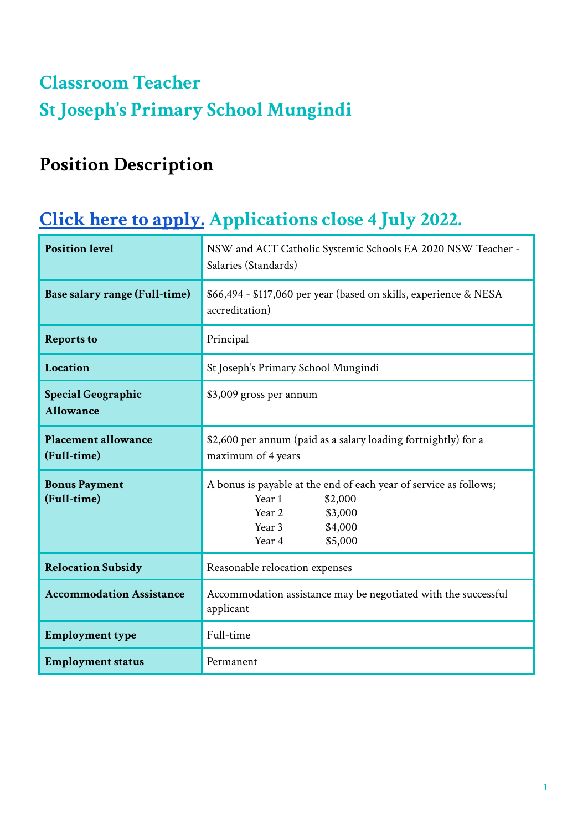# **Classroom Teacher St Joseph' s Primary School Mungindi**

## **Position Description**

## **Click here to [apply.](https://www.surveymonkey.com/r/FCMWN8L) Applications close 4 July 2022.**

| <b>Position level</b>                         | NSW and ACT Catholic Systemic Schools EA 2020 NSW Teacher -<br>Salaries (Standards)                                                                   |
|-----------------------------------------------|-------------------------------------------------------------------------------------------------------------------------------------------------------|
| Base salary range (Full-time)                 | \$66,494 - \$117,060 per year (based on skills, experience & NESA<br>accreditation)                                                                   |
| <b>Reports to</b>                             | Principal                                                                                                                                             |
| Location                                      | St Joseph's Primary School Mungindi                                                                                                                   |
| <b>Special Geographic</b><br><b>Allowance</b> | \$3,009 gross per annum                                                                                                                               |
| <b>Placement allowance</b><br>(Full-time)     | \$2,600 per annum (paid as a salary loading fortnightly) for a<br>maximum of 4 years                                                                  |
| <b>Bonus Payment</b><br>(Full-time)           | A bonus is payable at the end of each year of service as follows;<br>Year 1<br>\$2,000<br>\$3,000<br>Year 2<br>Year 3<br>\$4,000<br>Year 4<br>\$5,000 |
| <b>Relocation Subsidy</b>                     | Reasonable relocation expenses                                                                                                                        |
| <b>Accommodation Assistance</b>               | Accommodation assistance may be negotiated with the successful<br>applicant                                                                           |
| <b>Employment type</b>                        | Full-time                                                                                                                                             |
| <b>Employment status</b>                      | Permanent                                                                                                                                             |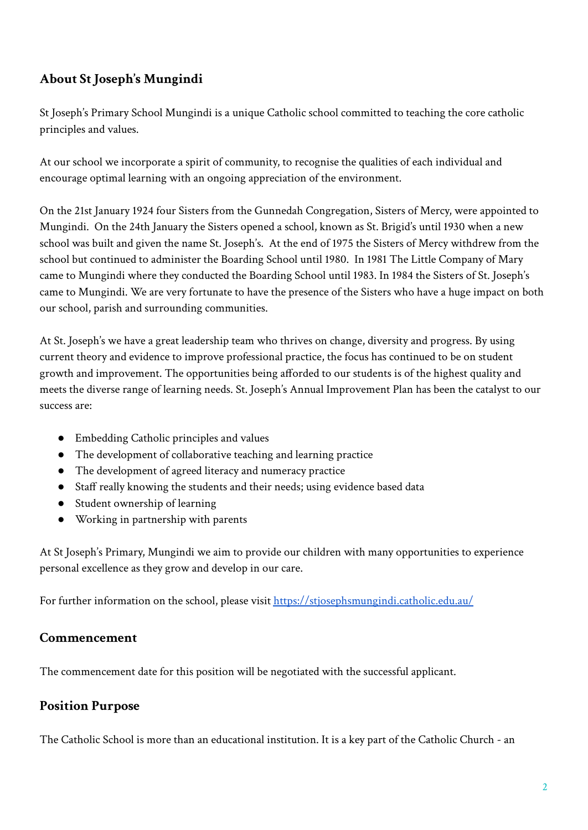## **About St Joseph's Mungindi**

St Joseph's Primary School Mungindi is a unique Catholic school committed to teaching the core catholic principles and values.

At our school we incorporate a spirit of community, to recognise the qualities of each individual and encourage optimal learning with an ongoing appreciation of the environment.

On the 21st January 1924 four Sisters from the Gunnedah Congregation, Sisters of Mercy, were appointed to Mungindi. On the 24th January the Sisters opened a school, known as St. Brigid's until 1930 when a new school was built and given the name St. Joseph's. At the end of 1975 the Sisters of Mercy withdrew from the school but continued to administer the Boarding School until 1980. In 1981 The Little Company of Mary came to Mungindi where they conducted the Boarding School until 1983. In 1984 the Sisters of St. Joseph's came to Mungindi. We are very fortunate to have the presence of the Sisters who have a huge impact on both our school, parish and surrounding communities.

At St. Joseph's we have a great leadership team who thrives on change, diversity and progress. By using current theory and evidence to improve professional practice, the focus has continued to be on student growth and improvement. The opportunities being afforded to our students is of the highest quality and meets the diverse range of learning needs. St. Joseph's Annual Improvement Plan has been the catalyst to our success are:

- Embedding Catholic principles and values
- The development of collaborative teaching and learning practice
- The development of agreed literacy and numeracy practice
- Staff really knowing the students and their needs; using evidence based data
- Student ownership of learning
- Working in partnership with parents

At St Joseph's Primary, Mungindi we aim to provide our children with many opportunities to experience personal excellence as they grow and develop in our care.

For further information on the school, please visit <https://stjosephsmungindi.catholic.edu.au/>

#### **Commencement**

The commencement date for this position will be negotiated with the successful applicant.

#### **Position Purpose**

The Catholic School is more than an educational institution. It is a key part of the Catholic Church - an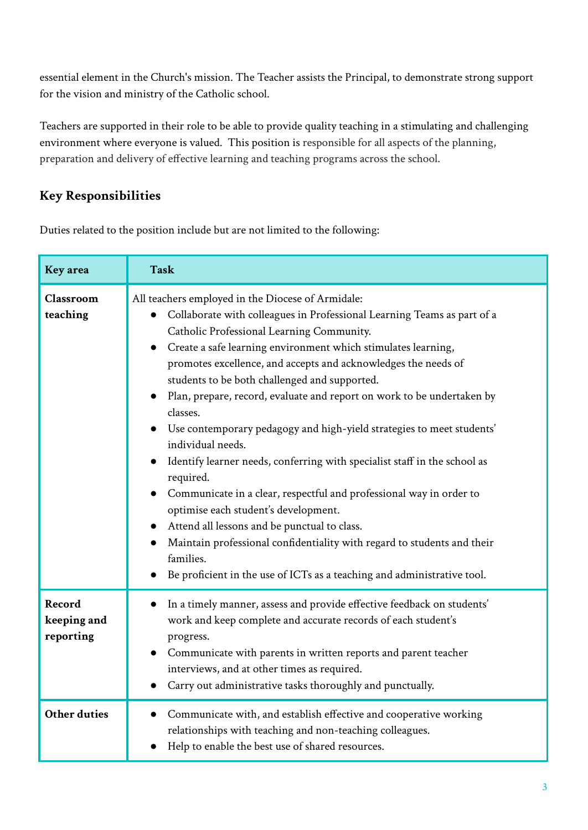essential element in the Church's mission. The Teacher assists the Principal, to demonstrate strong support for the vision and ministry of the Catholic school.

Teachers are supported in their role to be able to provide quality teaching in a stimulating and challenging environment where everyone is valued. This position is responsible for all aspects of the planning, preparation and delivery of effective learning and teaching programs across the school.

### **Key Responsibilities**

Duties related to the position include but are not limited to the following:

| Key area                           | <b>Task</b>                                                                                                                                                                                                                                                                                                                                                                                                                                                                                                                                                                                                                                                                                                                                                                                                                                                                                                                                                                                |
|------------------------------------|--------------------------------------------------------------------------------------------------------------------------------------------------------------------------------------------------------------------------------------------------------------------------------------------------------------------------------------------------------------------------------------------------------------------------------------------------------------------------------------------------------------------------------------------------------------------------------------------------------------------------------------------------------------------------------------------------------------------------------------------------------------------------------------------------------------------------------------------------------------------------------------------------------------------------------------------------------------------------------------------|
| <b>Classroom</b><br>teaching       | All teachers employed in the Diocese of Armidale:<br>Collaborate with colleagues in Professional Learning Teams as part of a<br>Catholic Professional Learning Community.<br>Create a safe learning environment which stimulates learning,<br>$\bullet$<br>promotes excellence, and accepts and acknowledges the needs of<br>students to be both challenged and supported.<br>Plan, prepare, record, evaluate and report on work to be undertaken by<br>classes.<br>Use contemporary pedagogy and high-yield strategies to meet students'<br>individual needs.<br>Identify learner needs, conferring with specialist staff in the school as<br>required.<br>Communicate in a clear, respectful and professional way in order to<br>optimise each student's development.<br>Attend all lessons and be punctual to class.<br>Maintain professional confidentiality with regard to students and their<br>families.<br>Be proficient in the use of ICTs as a teaching and administrative tool. |
| Record<br>keeping and<br>reporting | In a timely manner, assess and provide effective feedback on students'<br>work and keep complete and accurate records of each student's<br>progress.<br>Communicate with parents in written reports and parent teacher<br>interviews, and at other times as required.<br>Carry out administrative tasks thoroughly and punctually.                                                                                                                                                                                                                                                                                                                                                                                                                                                                                                                                                                                                                                                         |
| <b>Other duties</b>                | Communicate with, and establish effective and cooperative working<br>relationships with teaching and non-teaching colleagues.<br>Help to enable the best use of shared resources.                                                                                                                                                                                                                                                                                                                                                                                                                                                                                                                                                                                                                                                                                                                                                                                                          |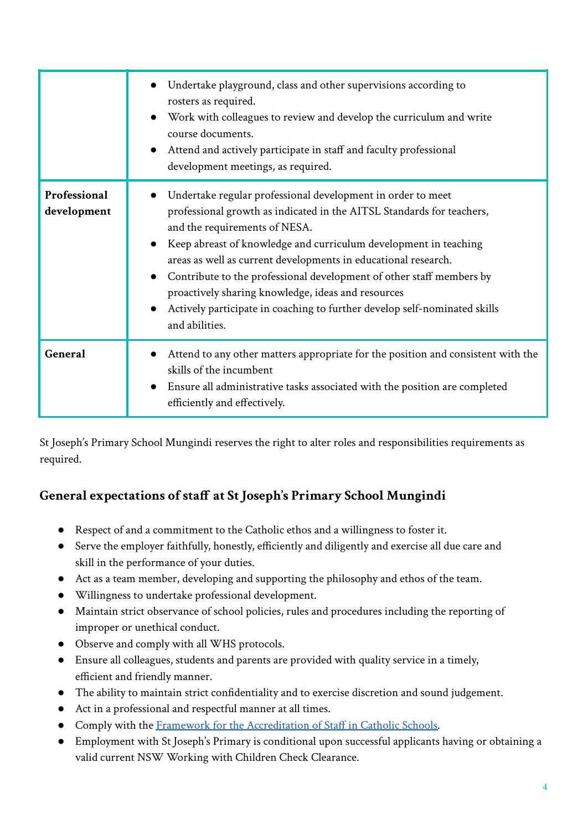|                             | Undertake playground, class and other supervisions according to<br>rosters as required.<br>Work with colleagues to review and develop the curriculum and write<br>course documents.<br>Attend and actively participate in staff and faculty professional<br>development meetings, as required.                                                                                                                                                                                                                                                        |
|-----------------------------|-------------------------------------------------------------------------------------------------------------------------------------------------------------------------------------------------------------------------------------------------------------------------------------------------------------------------------------------------------------------------------------------------------------------------------------------------------------------------------------------------------------------------------------------------------|
| Professional<br>development | Undertake regular professional development in order to meet<br>professional growth as indicated in the AITSL Standards for teachers,<br>and the requirements of NESA.<br>Keep abreast of knowledge and curriculum development in teaching<br>areas as well as current developments in educational research.<br>Contribute to the professional development of other staff members by<br>$\bullet$<br>proactively sharing knowledge, ideas and resources<br>Actively participate in coaching to further develop self-nominated skills<br>and abilities. |
| General                     | Attend to any other matters appropriate for the position and consistent with the<br>skills of the incumbent<br>Ensure all administrative tasks associated with the position are completed<br>efficiently and effectively.                                                                                                                                                                                                                                                                                                                             |

St Joseph's Primary School Mungindi reserves the right to alter roles and responsibilities requirements as required.

## **General expectations of staff at St Joseph's Primary School Mungindi**

- Respect of and a commitment to the Catholic ethos and a willingness to foster it.
- Serve the employer faithfully, honestly, efficiently and diligently and exercise all due care and skill in the performance of your duties.
- Act as a team member, developing and supporting the philosophy and ethos of the team.
- Willingness to undertake professional development.
- Maintain strict observance of school policies, rules and procedures including the reporting of improper or unethical conduct.
- Observe and comply with all WHS protocols.
- Ensure all colleagues, students and parents are provided with quality service in a timely, efficient and friendly manner.
- The ability to maintain strict confidentiality and to exercise discretion and sound judgement.
- Act in a professional and respectful manner at all times.
- Comply with the [Framework for the Accreditation of](https://arm.catholic.edu.au/wp-content/uploads/2018/10/Framework-for-the-Accreditation-of-Staff-in-Catholic-Schools.pdf) Staff in Catholic Schools.
- Employment with St Joseph's Primary is conditional upon successful applicants having or obtaining a valid current NSW Working with Children Check Clearance.